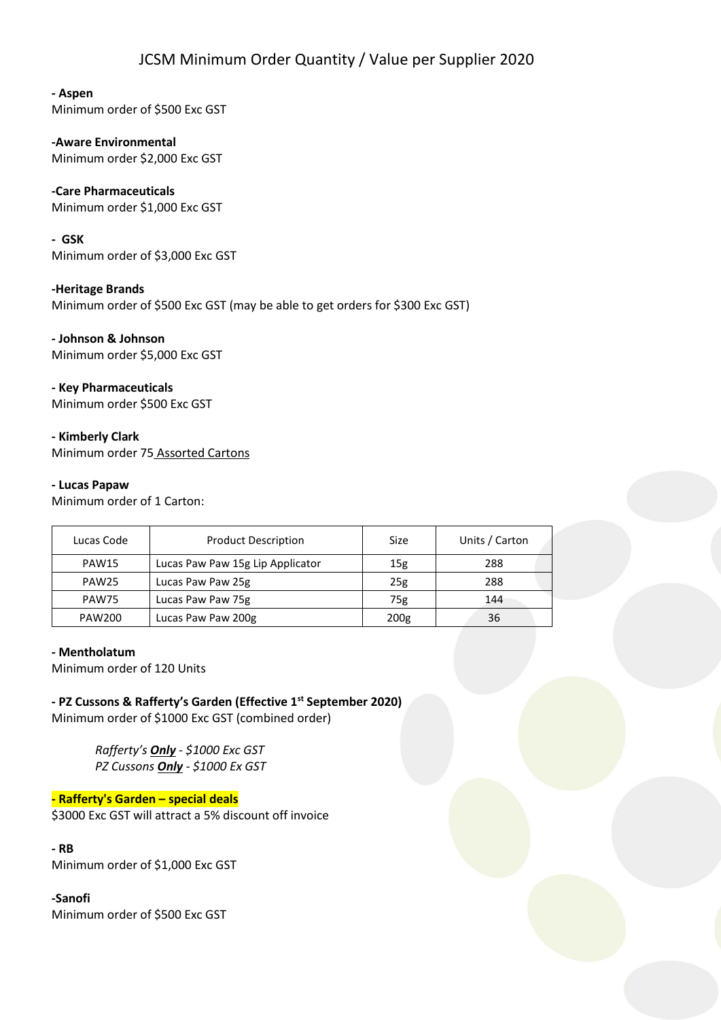# JCSM Minimum Order Quantity / Value per Supplier 2020

## **- Aspen**

Minimum order of \$500 Exc GST

**-Aware Environmental**  Minimum order \$2,000 Exc GST

# **-Care Pharmaceuticals**

Minimum order \$1,000 Exc GST

#### **- GSK**

Minimum order of \$3,000 Exc GST

### **-Heritage Brands**

Minimum order of \$500 Exc GST (may be able to get orders for \$300 Exc GST)

**- Johnson & Johnson**  Minimum order \$5,000 Exc GST

### **- Key Pharmaceuticals**

Minimum order \$500 Exc GST

### **- Kimberly Clark**

Minimum order 75 Assorted Cartons

### **- Lucas Papaw**

Minimum order of 1 Carton:

| Lucas Code        | <b>Product Description</b>       | Size             | Units / Carton |
|-------------------|----------------------------------|------------------|----------------|
| <b>PAW15</b>      | Lucas Paw Paw 15g Lip Applicator | 15g              | 288            |
| PAW <sub>25</sub> | Lucas Paw Paw 25g                | 25g              | 288            |
| PAW75             | Lucas Paw Paw 75g                | 75g              | 144            |
| PAW200            | Lucas Paw Paw 200g               | 200 <sub>g</sub> | 36             |

#### **- Mentholatum**

Minimum order of 120 Units

**- PZ Cussons & Rafferty's Garden (Effective 1st September 2020)**  Minimum order of \$1000 Exc GST (combined order)

> *Rafferty's Only - \$1000 Exc GST PZ Cussons Only - \$1000 Ex GST*

#### **- Rafferty's Garden – special deals**

\$3000 Exc GST will attract a 5% discount off invoice

## **- RB**

Minimum order of \$1,000 Exc GST

### **-Sanofi**

Minimum order of \$500 Exc GST